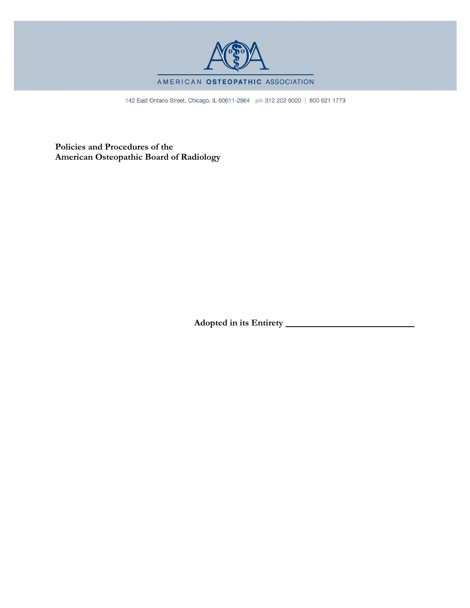

#### AMERICAN OSTEOPATHIC ASSOCIATION

142 East Ontario Street, Chicago, IL 60611-2864 ph 312 202 8000 | 800 621 1773

**Policies and Procedures of the American Osteopathic Board of Radiology**

**Adopted in its Entirety \_\_\_\_\_\_\_\_\_\_\_\_\_\_\_\_\_\_\_\_\_\_\_\_\_\_\_\_**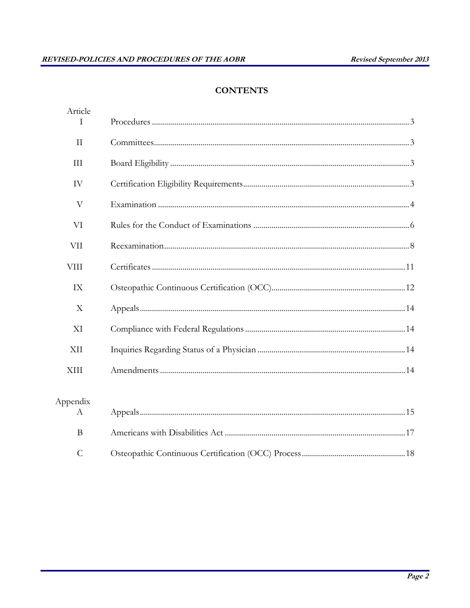## **CONTENTS**

| Article<br>Τ   |  |
|----------------|--|
| $\mathbf{I}$   |  |
| III            |  |
| IV             |  |
| $\rm V$        |  |
| VI             |  |
| <b>VII</b>     |  |
| <b>VIII</b>    |  |
| IX             |  |
| X              |  |
| XI             |  |
| XII            |  |
| XIII           |  |
| Appendix<br>A  |  |
| B              |  |
| $\overline{C}$ |  |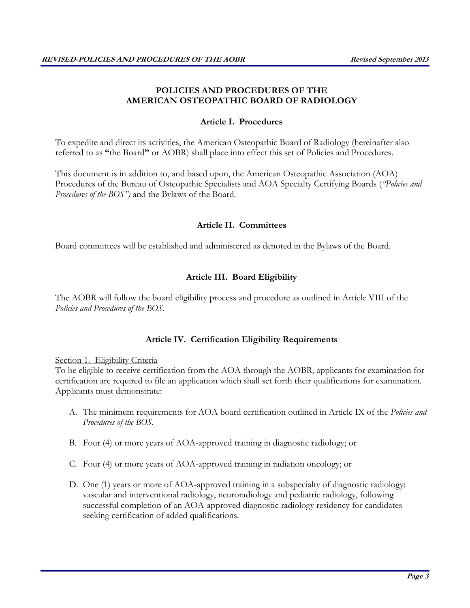## **POLICIES AND PROCEDURES OF THE AMERICAN OSTEOPATHIC BOARD OF RADIOLOGY**

## **Article I. Procedures**

To expedite and direct its activities, the American Osteopathic Board of Radiology (hereinafter also referred to as **"**the Board**"** or AOBR) shall place into effect this set of Policies and Procedures.

This document is in addition to, and based upon, the American Osteopathic Association (AOA) Procedures of the Bureau of Osteopathic Specialists and AOA Specialty Certifying Boards (*"Policies and Procedures of the BOS")* and the Bylaws of the Board.

### **Article II. Committees**

Board committees will be established and administered as denoted in the Bylaws of the Board.

## **Article III. Board Eligibility**

The AOBR will follow the board eligibility process and procedure as outlined in Article VIII of the *Policies and Procedures of the BOS.*

### **Article IV. Certification Eligibility Requirements**

### Section 1. Eligibility Criteria

To be eligible to receive certification from the AOA through the AOBR, applicants for examination for certification are required to file an application which shall set forth their qualifications for examination. Applicants must demonstrate:

- A. The minimum requirements for AOA board certification outlined in Article IX of the *Policies and Procedures of the BOS.*
- B. Four (4) or more years of AOA-approved training in diagnostic radiology; or
- C. Four (4) or more years of AOA-approved training in radiation oncology; or
- D. One (1) years or more of AOA-approved training in a subspecialty of diagnostic radiology: vascular and interventional radiology, neuroradiology and pediatric radiology, following successful completion of an AOA-approved diagnostic radiology residency for candidates seeking certification of added qualifications.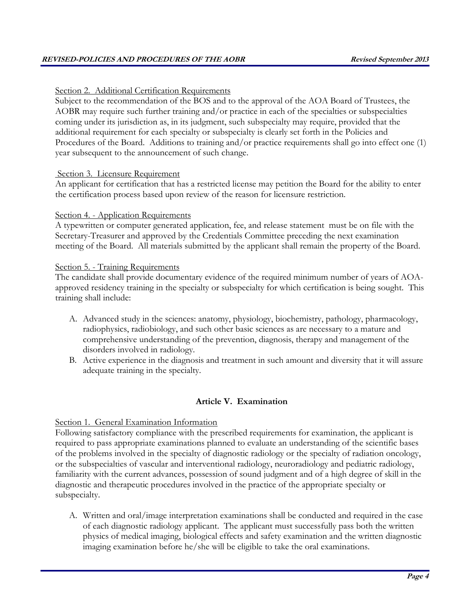## Section 2. Additional Certification Requirements

Subject to the recommendation of the BOS and to the approval of the AOA Board of Trustees, the AOBR may require such further training and/or practice in each of the specialties or subspecialties coming under its jurisdiction as, in its judgment, such subspecialty may require, provided that the additional requirement for each specialty or subspecialty is clearly set forth in the Policies and Procedures of the Board. Additions to training and/or practice requirements shall go into effect one (1) year subsequent to the announcement of such change.

### Section 3. Licensure Requirement

An applicant for certification that has a restricted license may petition the Board for the ability to enter the certification process based upon review of the reason for licensure restriction.

### Section 4. - Application Requirements

A typewritten or computer generated application, fee, and release statement must be on file with the Secretary-Treasurer and approved by the Credentials Committee preceding the next examination meeting of the Board. All materials submitted by the applicant shall remain the property of the Board.

### Section 5. - Training Requirements

The candidate shall provide documentary evidence of the required minimum number of years of AOAapproved residency training in the specialty or subspecialty for which certification is being sought. This training shall include:

- A. Advanced study in the sciences: anatomy, physiology, biochemistry, pathology, pharmacology, radiophysics, radiobiology, and such other basic sciences as are necessary to a mature and comprehensive understanding of the prevention, diagnosis, therapy and management of the disorders involved in radiology.
- B. Active experience in the diagnosis and treatment in such amount and diversity that it will assure adequate training in the specialty.

## **Article V. Examination**

### Section 1. General Examination Information

Following satisfactory compliance with the prescribed requirements for examination, the applicant is required to pass appropriate examinations planned to evaluate an understanding of the scientific bases of the problems involved in the specialty of diagnostic radiology or the specialty of radiation oncology, or the subspecialties of vascular and interventional radiology, neuroradiology and pediatric radiology, familiarity with the current advances, possession of sound judgment and of a high degree of skill in the diagnostic and therapeutic procedures involved in the practice of the appropriate specialty or subspecialty.

A. Written and oral/image interpretation examinations shall be conducted and required in the case of each diagnostic radiology applicant. The applicant must successfully pass both the written physics of medical imaging, biological effects and safety examination and the written diagnostic imaging examination before he/she will be eligible to take the oral examinations.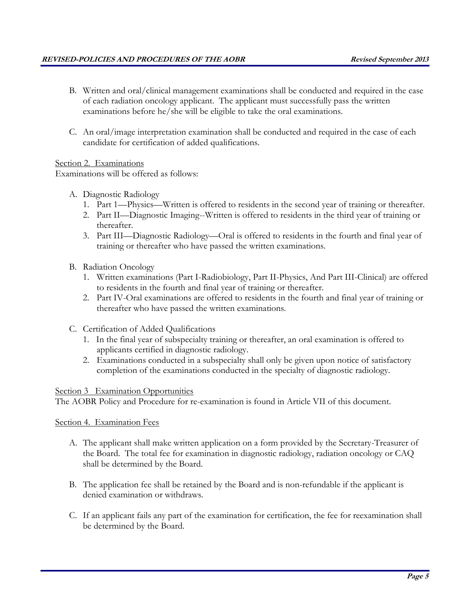- B. Written and oral/clinical management examinations shall be conducted and required in the case of each radiation oncology applicant. The applicant must successfully pass the written examinations before he/she will be eligible to take the oral examinations.
- C. An oral/image interpretation examination shall be conducted and required in the case of each candidate for certification of added qualifications.

Section 2. Examinations

Examinations will be offered as follows:

- A. Diagnostic Radiology
	- 1. Part 1—Physics—Written is offered to residents in the second year of training or thereafter.
	- 2. Part II—Diagnostic Imaging--Written is offered to residents in the third year of training or thereafter.
	- 3. Part III—Diagnostic Radiology—Oral is offered to residents in the fourth and final year of training or thereafter who have passed the written examinations.
- B. Radiation Oncology
	- 1. Written examinations (Part I-Radiobiology, Part II-Physics, And Part III-Clinical) are offered to residents in the fourth and final year of training or thereafter.
	- 2. Part IV-Oral examinations are offered to residents in the fourth and final year of training or thereafter who have passed the written examinations.
- C. Certification of Added Qualifications
	- 1. In the final year of subspecialty training or thereafter, an oral examination is offered to applicants certified in diagnostic radiology.
	- 2. Examinations conducted in a subspecialty shall only be given upon notice of satisfactory completion of the examinations conducted in the specialty of diagnostic radiology.

### Section 3 Examination Opportunities

The AOBR Policy and Procedure for re-examination is found in Article VII of this document.

## Section 4. Examination Fees

- A. The applicant shall make written application on a form provided by the Secretary-Treasurer of the Board. The total fee for examination in diagnostic radiology, radiation oncology or CAQ shall be determined by the Board.
- B. The application fee shall be retained by the Board and is non-refundable if the applicant is denied examination or withdraws.
- C. If an applicant fails any part of the examination for certification, the fee for reexamination shall be determined by the Board.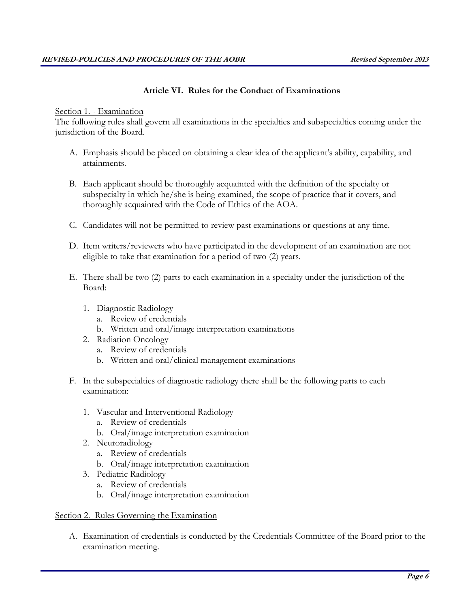## **Article VI. Rules for the Conduct of Examinations**

### Section 1. - Examination

The following rules shall govern all examinations in the specialties and subspecialties coming under the jurisdiction of the Board.

- A. Emphasis should be placed on obtaining a clear idea of the applicant's ability, capability, and attainments.
- B. Each applicant should be thoroughly acquainted with the definition of the specialty or subspecialty in which he/she is being examined, the scope of practice that it covers, and thoroughly acquainted with the Code of Ethics of the AOA.
- C. Candidates will not be permitted to review past examinations or questions at any time.
- D. Item writers/reviewers who have participated in the development of an examination are not eligible to take that examination for a period of two (2) years.
- E. There shall be two (2) parts to each examination in a specialty under the jurisdiction of the Board:
	- 1. Diagnostic Radiology
		- a. Review of credentials
		- b. Written and oral/image interpretation examinations
	- 2. Radiation Oncology
		- a. Review of credentials
		- b. Written and oral/clinical management examinations
- F. In the subspecialties of diagnostic radiology there shall be the following parts to each examination:
	- 1. Vascular and Interventional Radiology
		- a. Review of credentials
		- b. Oral/image interpretation examination
	- 2. Neuroradiology
		- a. Review of credentials
		- b. Oral/image interpretation examination
	- 3. Pediatric Radiology
		- a. Review of credentials
		- b. Oral/image interpretation examination

### Section 2. Rules Governing the Examination

A. Examination of credentials is conducted by the Credentials Committee of the Board prior to the examination meeting.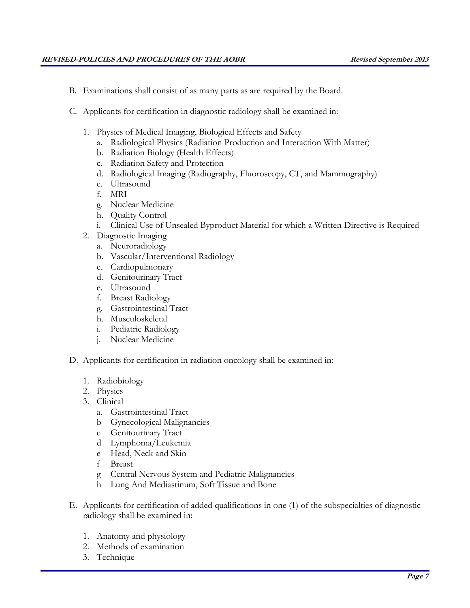- B. Examinations shall consist of as many parts as are required by the Board.
- C. Applicants for certification in diagnostic radiology shall be examined in:
	- 1. Physics of Medical Imaging, Biological Effects and Safety
		- a. Radiological Physics (Radiation Production and Interaction With Matter)
		- b. Radiation Biology (Health Effects)
		- c. Radiation Safety and Protection
		- d. Radiological Imaging (Radiography, Fluoroscopy, CT, and Mammography)
		- e. Ultrasound
		- f. MRI
		- g. Nuclear Medicine
		- h. Quality Control
		- i. Clinical Use of Unsealed Byproduct Material for which a Written Directive is Required
	- 2. Diagnostic Imaging
		- a. Neuroradiology
		- b. Vascular/Interventional Radiology
		- c. Cardiopulmonary
		- d. Genitourinary Tract
		- e. Ultrasound
		- f. Breast Radiology
		- g. Gastrointestinal Tract
		- h. Musculoskeletal
		- i. Pediatric Radiology
		- j. Nuclear Medicine
- D. Applicants for certification in radiation oncology shall be examined in:
	- 1. Radiobiology
	- 2. Physics
	- 3. Clinical
		- a. Gastrointestinal Tract
		- b Gynecological Malignancies
		- c Genitourinary Tract
		- d Lymphoma/Leukemia
		- e Head, Neck and Skin
		- f Breast
		- g Central Nervous System and Pediatric Malignancies
		- h Lung And Mediastinum, Soft Tissue and Bone
- E. Applicants for certification of added qualifications in one (1) of the subspecialties of diagnostic radiology shall be examined in:
	- 1. Anatomy and physiology
	- 2. Methods of examination
	- 3. Technique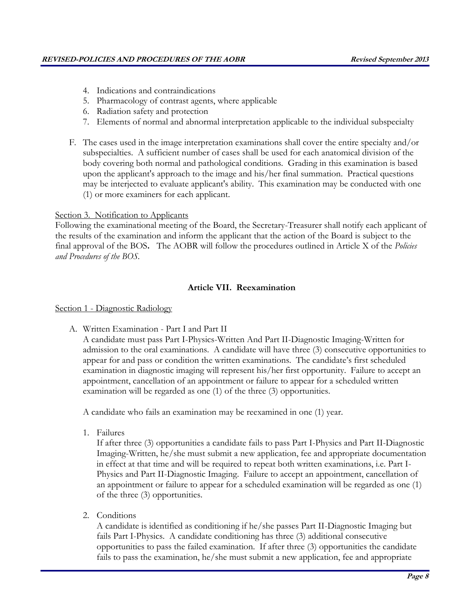- 4. Indications and contraindications
- 5. Pharmacology of contrast agents, where applicable
- 6. Radiation safety and protection
- 7. Elements of normal and abnormal interpretation applicable to the individual subspecialty
- F. The cases used in the image interpretation examinations shall cover the entire specialty and/or subspecialties. A sufficient number of cases shall be used for each anatomical division of the body covering both normal and pathological conditions. Grading in this examination is based upon the applicant's approach to the image and his/her final summation. Practical questions may be interjected to evaluate applicant's ability. This examination may be conducted with one (1) or more examiners for each applicant.

## Section 3. Notification to Applicants

Following the examinational meeting of the Board, the Secretary-Treasurer shall notify each applicant of the results of the examination and inform the applicant that the action of the Board is subject to the final approval of the BOS**.** The AOBR will follow the procedures outlined in Article X of the *Policies and Procedures of the BOS.*

## **Article VII. Reexamination**

### Section 1 - Diagnostic Radiology

A. Written Examination - Part I and Part II

A candidate must pass Part I-Physics-Written And Part II-Diagnostic Imaging-Written for admission to the oral examinations. A candidate will have three (3) consecutive opportunities to appear for and pass or condition the written examinations. The candidate's first scheduled examination in diagnostic imaging will represent his/her first opportunity. Failure to accept an appointment, cancellation of an appointment or failure to appear for a scheduled written examination will be regarded as one (1) of the three (3) opportunities.

A candidate who fails an examination may be reexamined in one (1) year.

1. Failures

If after three (3) opportunities a candidate fails to pass Part I-Physics and Part II-Diagnostic Imaging-Written, he/she must submit a new application, fee and appropriate documentation in effect at that time and will be required to repeat both written examinations, i.e. Part I-Physics and Part II-Diagnostic Imaging. Failure to accept an appointment, cancellation of an appointment or failure to appear for a scheduled examination will be regarded as one (1) of the three (3) opportunities.

2. Conditions

A candidate is identified as conditioning if he/she passes Part II-Diagnostic Imaging but fails Part I-Physics. A candidate conditioning has three (3) additional consecutive opportunities to pass the failed examination. If after three (3) opportunities the candidate fails to pass the examination, he/she must submit a new application, fee and appropriate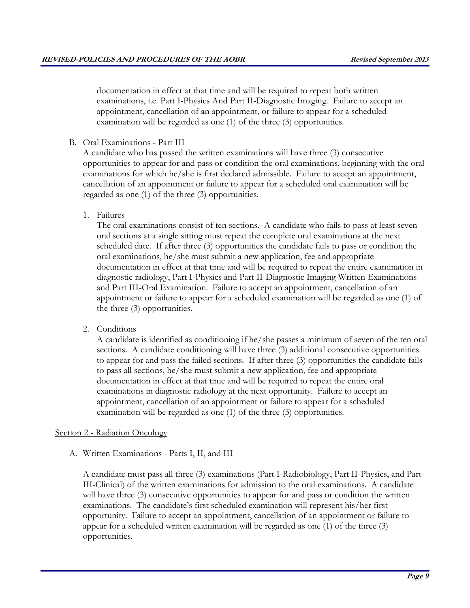documentation in effect at that time and will be required to repeat both written examinations, i.e. Part I-Physics And Part II-Diagnostic Imaging. Failure to accept an appointment, cancellation of an appointment, or failure to appear for a scheduled examination will be regarded as one (1) of the three (3) opportunities.

B. Oral Examinations - Part III

A candidate who has passed the written examinations will have three (3) consecutive opportunities to appear for and pass or condition the oral examinations, beginning with the oral examinations for which he/she is first declared admissible. Failure to accept an appointment, cancellation of an appointment or failure to appear for a scheduled oral examination will be regarded as one (1) of the three (3) opportunities.

1. Failures

The oral examinations consist of ten sections. A candidate who fails to pass at least seven oral sections at a single sitting must repeat the complete oral examinations at the next scheduled date. If after three (3) opportunities the candidate fails to pass or condition the oral examinations, he/she must submit a new application, fee and appropriate documentation in effect at that time and will be required to repeat the entire examination in diagnostic radiology, Part I-Physics and Part II-Diagnostic Imaging Written Examinations and Part III-Oral Examination. Failure to accept an appointment, cancellation of an appointment or failure to appear for a scheduled examination will be regarded as one (1) of the three (3) opportunities.

2. Conditions

A candidate is identified as conditioning if he/she passes a minimum of seven of the ten oral sections. A candidate conditioning will have three (3) additional consecutive opportunities to appear for and pass the failed sections. If after three (3) opportunities the candidate fails to pass all sections, he/she must submit a new application, fee and appropriate documentation in effect at that time and will be required to repeat the entire oral examinations in diagnostic radiology at the next opportunity. Failure to accept an appointment, cancellation of an appointment or failure to appear for a scheduled examination will be regarded as one (1) of the three (3) opportunities.

### Section 2 - Radiation Oncology

A. Written Examinations - Parts I, II, and III

A candidate must pass all three (3) examinations (Part I-Radiobiology, Part II-Physics, and Part-III-Clinical) of the written examinations for admission to the oral examinations. A candidate will have three (3) consecutive opportunities to appear for and pass or condition the written examinations. The candidate's first scheduled examination will represent his/her first opportunity. Failure to accept an appointment, cancellation of an appointment or failure to appear for a scheduled written examination will be regarded as one (1) of the three (3) opportunities.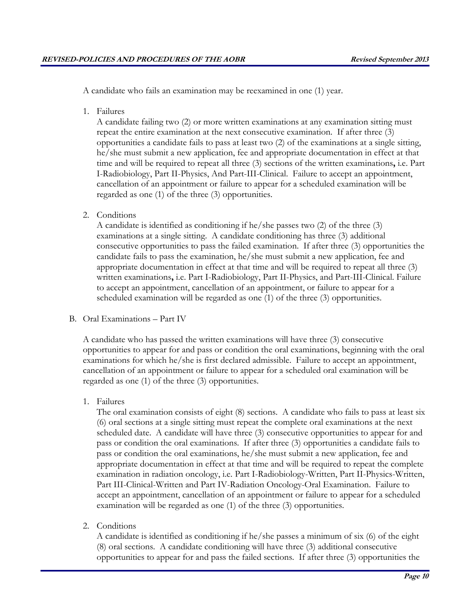A candidate who fails an examination may be reexamined in one (1) year.

1. Failures

A candidate failing two (2) or more written examinations at any examination sitting must repeat the entire examination at the next consecutive examination. If after three (3) opportunities a candidate fails to pass at least two (2) of the examinations at a single sitting, he/she must submit a new application, fee and appropriate documentation in effect at that time and will be required to repeat all three (3) sections of the written examinations**,** i.e. Part I-Radiobiology, Part II-Physics, And Part-III-Clinical. Failure to accept an appointment, cancellation of an appointment or failure to appear for a scheduled examination will be regarded as one (1) of the three (3) opportunities.

2. Conditions

A candidate is identified as conditioning if he/she passes two (2) of the three (3) examinations at a single sitting. A candidate conditioning has three (3) additional consecutive opportunities to pass the failed examination. If after three (3) opportunities the candidate fails to pass the examination, he/she must submit a new application, fee and appropriate documentation in effect at that time and will be required to repeat all three (3) written examinations**,** i.e. Part I-Radiobiology, Part II-Physics, and Part-III-Clinical. Failure to accept an appointment, cancellation of an appointment, or failure to appear for a scheduled examination will be regarded as one (1) of the three (3) opportunities.

B. Oral Examinations – Part IV

A candidate who has passed the written examinations will have three (3) consecutive opportunities to appear for and pass or condition the oral examinations, beginning with the oral examinations for which he/she is first declared admissible. Failure to accept an appointment, cancellation of an appointment or failure to appear for a scheduled oral examination will be regarded as one (1) of the three (3) opportunities.

1. Failures

The oral examination consists of eight (8) sections. A candidate who fails to pass at least six (6) oral sections at a single sitting must repeat the complete oral examinations at the next scheduled date. A candidate will have three (3) consecutive opportunities to appear for and pass or condition the oral examinations. If after three (3) opportunities a candidate fails to pass or condition the oral examinations, he/she must submit a new application, fee and appropriate documentation in effect at that time and will be required to repeat the complete examination in radiation oncology, i.e. Part I-Radiobiology-Written, Part II-Physics-Written, Part III-Clinical-Written and Part IV-Radiation Oncology-Oral Examination. Failure to accept an appointment, cancellation of an appointment or failure to appear for a scheduled examination will be regarded as one (1) of the three (3) opportunities.

2. Conditions

A candidate is identified as conditioning if he/she passes a minimum of six (6) of the eight (8) oral sections. A candidate conditioning will have three (3) additional consecutive opportunities to appear for and pass the failed sections. If after three (3) opportunities the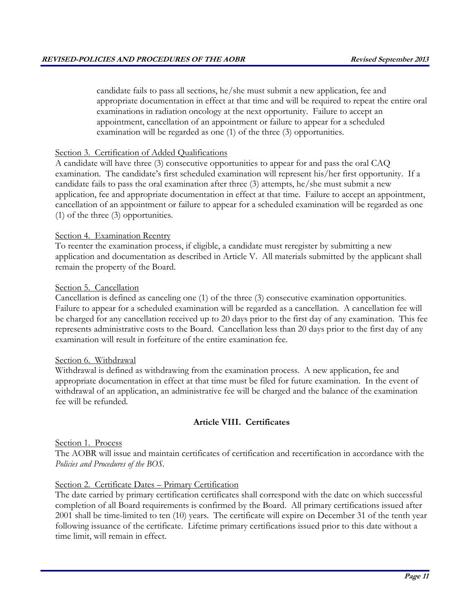candidate fails to pass all sections, he/she must submit a new application, fee and appropriate documentation in effect at that time and will be required to repeat the entire oral examinations in radiation oncology at the next opportunity. Failure to accept an appointment, cancellation of an appointment or failure to appear for a scheduled examination will be regarded as one (1) of the three (3) opportunities.

### Section 3. Certification of Added Qualifications

A candidate will have three (3) consecutive opportunities to appear for and pass the oral CAQ examination. The candidate's first scheduled examination will represent his/her first opportunity. If a candidate fails to pass the oral examination after three (3) attempts, he/she must submit a new application, fee and appropriate documentation in effect at that time. Failure to accept an appointment, cancellation of an appointment or failure to appear for a scheduled examination will be regarded as one (1) of the three (3) opportunities.

## Section 4. Examination Reentry

To reenter the examination process, if eligible, a candidate must reregister by submitting a new application and documentation as described in Article V. All materials submitted by the applicant shall remain the property of the Board.

## Section 5. Cancellation

Cancellation is defined as canceling one (1) of the three (3) consecutive examination opportunities. Failure to appear for a scheduled examination will be regarded as a cancellation. A cancellation fee will be charged for any cancellation received up to 20 days prior to the first day of any examination. This fee represents administrative costs to the Board. Cancellation less than 20 days prior to the first day of any examination will result in forfeiture of the entire examination fee.

### Section 6. Withdrawal

Withdrawal is defined as withdrawing from the examination process. A new application, fee and appropriate documentation in effect at that time must be filed for future examination. In the event of withdrawal of an application, an administrative fee will be charged and the balance of the examination fee will be refunded.

## **Article VIII. Certificates**

## Section 1. Process

The AOBR will issue and maintain certificates of certification and recertification in accordance with the *Policies and Procedures of the BOS.* 

## Section 2. Certificate Dates – Primary Certification

The date carried by primary certification certificates shall correspond with the date on which successful completion of all Board requirements is confirmed by the Board. All primary certifications issued after 2001 shall be time-limited to ten (10) years. The certificate will expire on December 31 of the tenth year following issuance of the certificate. Lifetime primary certifications issued prior to this date without a time limit, will remain in effect.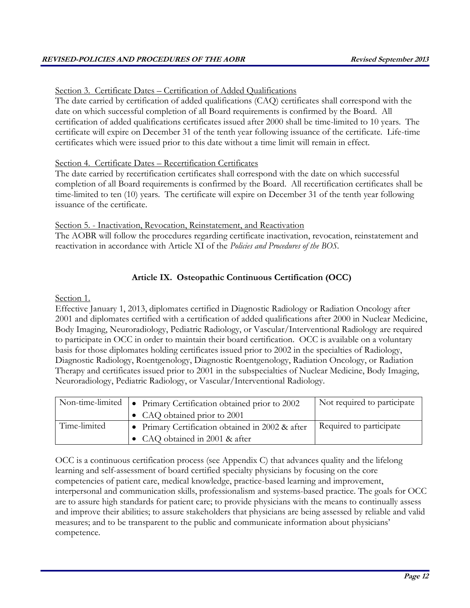Section 3. Certificate Dates – Certification of Added Qualifications

The date carried by certification of added qualifications (CAQ) certificates shall correspond with the date on which successful completion of all Board requirements is confirmed by the Board. All certification of added qualifications certificates issued after 2000 shall be time-limited to 10 years. The certificate will expire on December 31 of the tenth year following issuance of the certificate. Life-time certificates which were issued prior to this date without a time limit will remain in effect.

## Section 4. Certificate Dates – Recertification Certificates

The date carried by recertification certificates shall correspond with the date on which successful completion of all Board requirements is confirmed by the Board. All recertification certificates shall be time-limited to ten (10) years. The certificate will expire on December 31 of the tenth year following issuance of the certificate.

Section 5. - Inactivation, Revocation, Reinstatement, and Reactivation

The AOBR will follow the procedures regarding certificate inactivation, revocation, reinstatement and reactivation in accordance with Article XI of the *Policies and Procedures of the BOS.* 

## **Article IX. Osteopathic Continuous Certification (OCC)**

## Section 1.

Effective January 1, 2013, diplomates certified in Diagnostic Radiology or Radiation Oncology after 2001 and diplomates certified with a certification of added qualifications after 2000 in Nuclear Medicine, Body Imaging, Neuroradiology, Pediatric Radiology, or Vascular/Interventional Radiology are required to participate in OCC in order to maintain their board certification. OCC is available on a voluntary basis for those diplomates holding certificates issued prior to 2002 in the specialties of Radiology, Diagnostic Radiology, Roentgenology, Diagnostic Roentgenology, Radiation Oncology, or Radiation Therapy and certificates issued prior to 2001 in the subspecialties of Nuclear Medicine, Body Imaging, Neuroradiology, Pediatric Radiology, or Vascular/Interventional Radiology.

| Non-time-limited | • Primary Certification obtained prior to 2002   | Not required to participate |
|------------------|--------------------------------------------------|-----------------------------|
|                  | • CAQ obtained prior to 2001                     |                             |
| Time-limited     | • Primary Certification obtained in 2002 & after | Required to participate     |
|                  | • CAQ obtained in 2001 & after                   |                             |

OCC is a continuous certification process (see Appendix C) that advances quality and the lifelong learning and self-assessment of board certified specialty physicians by focusing on the core competencies of patient care, medical knowledge, practice-based learning and improvement, interpersonal and communication skills, professionalism and systems-based practice. The goals for OCC are to assure high standards for patient care; to provide physicians with the means to continually assess and improve their abilities; to assure stakeholders that physicians are being assessed by reliable and valid measures; and to be transparent to the public and communicate information about physicians' competence.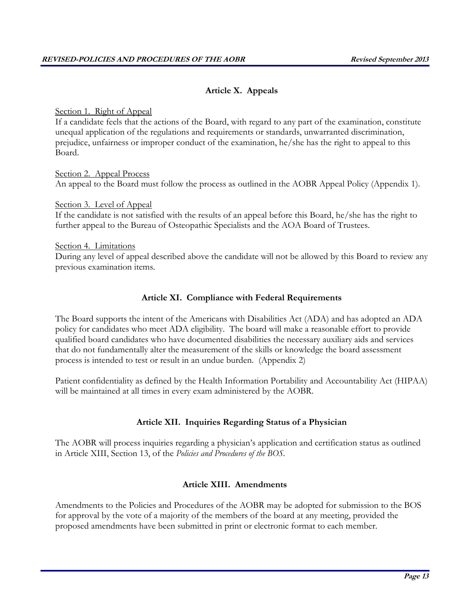## **Article X. Appeals**

### Section 1. Right of Appeal

If a candidate feels that the actions of the Board, with regard to any part of the examination, constitute unequal application of the regulations and requirements or standards, unwarranted discrimination, prejudice, unfairness or improper conduct of the examination, he/she has the right to appeal to this Board.

Section 2. Appeal Process An appeal to the Board must follow the process as outlined in the AOBR Appeal Policy (Appendix 1).

Section 3. Level of Appeal If the candidate is not satisfied with the results of an appeal before this Board, he/she has the right to further appeal to the Bureau of Osteopathic Specialists and the AOA Board of Trustees.

Section 4. Limitations During any level of appeal described above the candidate will not be allowed by this Board to review any previous examination items.

## **Article XI. Compliance with Federal Requirements**

The Board supports the intent of the Americans with Disabilities Act (ADA) and has adopted an ADA policy for candidates who meet ADA eligibility. The board will make a reasonable effort to provide qualified board candidates who have documented disabilities the necessary auxiliary aids and services that do not fundamentally alter the measurement of the skills or knowledge the board assessment process is intended to test or result in an undue burden. (Appendix 2)

Patient confidentiality as defined by the Health Information Portability and Accountability Act (HIPAA) will be maintained at all times in every exam administered by the AOBR.

## **Article XII. Inquiries Regarding Status of a Physician**

The AOBR will process inquiries regarding a physician's application and certification status as outlined in Article XIII, Section 13, of the *Policies and Procedures of the BOS.*

### **Article XIII. Amendments**

Amendments to the Policies and Procedures of the AOBR may be adopted for submission to the BOS for approval by the vote of a majority of the members of the board at any meeting, provided the proposed amendments have been submitted in print or electronic format to each member.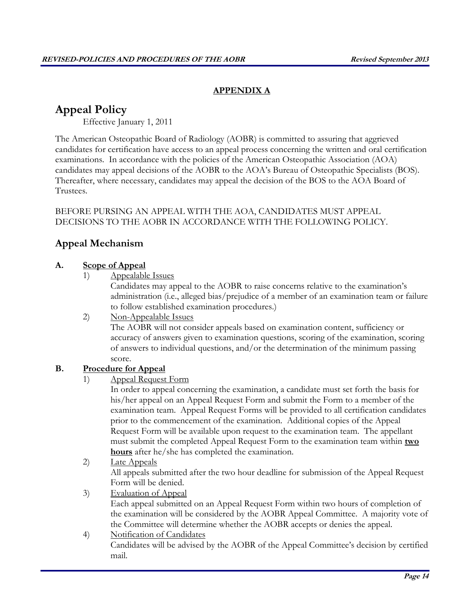## **APPENDIX A**

# **Appeal Policy**

Effective January 1, 2011

The American Osteopathic Board of Radiology (AOBR) is committed to assuring that aggrieved candidates for certification have access to an appeal process concerning the written and oral certification examinations. In accordance with the policies of the American Osteopathic Association (AOA) candidates may appeal decisions of the AOBR to the AOA's Bureau of Osteopathic Specialists (BOS). Thereafter, where necessary, candidates may appeal the decision of the BOS to the AOA Board of Trustees.

## BEFORE PURSING AN APPEAL WITH THE AOA, CANDIDATES MUST APPEAL DECISIONS TO THE AOBR IN ACCORDANCE WITH THE FOLLOWING POLICY.

# **Appeal Mechanism**

## **A. Scope of Appeal**

1) Appealable Issues

Candidates may appeal to the AOBR to raise concerns relative to the examination's administration (i.e., alleged bias/prejudice of a member of an examination team or failure to follow established examination procedures.)

### 2) Non-Appealable Issues

The AOBR will not consider appeals based on examination content, sufficiency or accuracy of answers given to examination questions, scoring of the examination, scoring of answers to individual questions, and/or the determination of the minimum passing score.

## **B. Procedure for Appeal**

## 1) Appeal Request Form

In order to appeal concerning the examination, a candidate must set forth the basis for his/her appeal on an Appeal Request Form and submit the Form to a member of the examination team. Appeal Request Forms will be provided to all certification candidates prior to the commencement of the examination. Additional copies of the Appeal Request Form will be available upon request to the examination team. The appellant must submit the completed Appeal Request Form to the examination team within **two hours** after he/she has completed the examination.

## 2) Late Appeals

All appeals submitted after the two hour deadline for submission of the Appeal Request Form will be denied.

3) Evaluation of Appeal

Each appeal submitted on an Appeal Request Form within two hours of completion of the examination will be considered by the AOBR Appeal Committee. A majority vote of the Committee will determine whether the AOBR accepts or denies the appeal.

## 4) Notification of Candidates

Candidates will be advised by the AOBR of the Appeal Committee's decision by certified mail.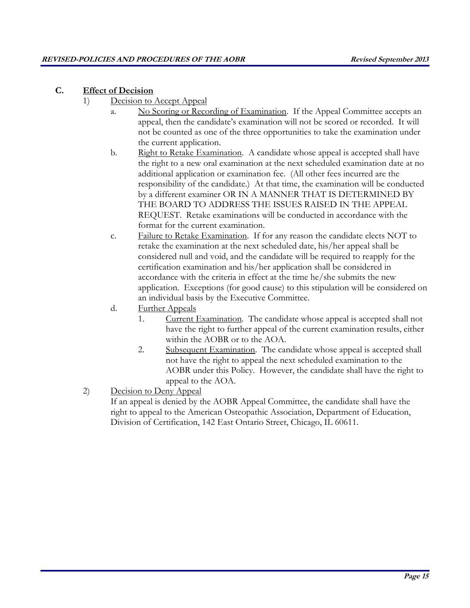## **C. Effect of Decision**

- 1) Decision to Accept Appeal
	- a. No Scoring or Recording of Examination. If the Appeal Committee accepts an appeal, then the candidate's examination will not be scored or recorded. It will not be counted as one of the three opportunities to take the examination under the current application.
	- b. Right to Retake Examination. A candidate whose appeal is accepted shall have the right to a new oral examination at the next scheduled examination date at no additional application or examination fee. (All other fees incurred are the responsibility of the candidate.) At that time, the examination will be conducted by a different examiner OR IN A MANNER THAT IS DETERMINED BY THE BOARD TO ADDRESS THE ISSUES RAISED IN THE APPEAL REQUEST. Retake examinations will be conducted in accordance with the format for the current examination.
	- c. Failure to Retake Examination. If for any reason the candidate elects NOT to retake the examination at the next scheduled date, his/her appeal shall be considered null and void, and the candidate will be required to reapply for the certification examination and his/her application shall be considered in accordance with the criteria in effect at the time he/she submits the new application. Exceptions (for good cause) to this stipulation will be considered on an individual basis by the Executive Committee.
	- d. Further Appeals
		- 1. Current Examination. The candidate whose appeal is accepted shall not have the right to further appeal of the current examination results, either within the AOBR or to the AOA.
		- 2. Subsequent Examination. The candidate whose appeal is accepted shall not have the right to appeal the next scheduled examination to the AOBR under this Policy. However, the candidate shall have the right to appeal to the AOA.
- 2) Decision to Deny Appeal

If an appeal is denied by the AOBR Appeal Committee, the candidate shall have the right to appeal to the American Osteopathic Association, Department of Education, Division of Certification, 142 East Ontario Street, Chicago, IL 60611.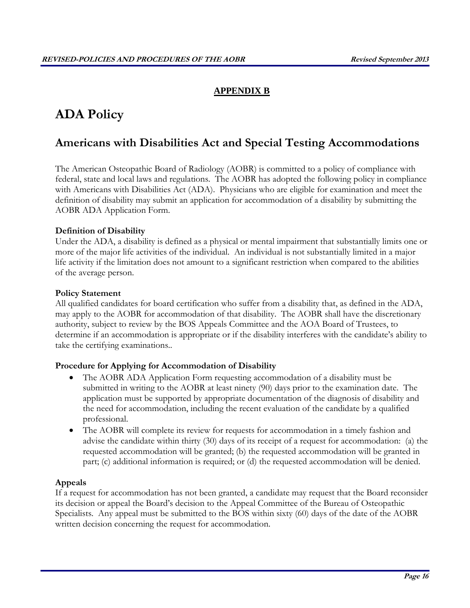## **APPENDIX B**

# **ADA Policy**

# **Americans with Disabilities Act and Special Testing Accommodations**

The American Osteopathic Board of Radiology (AOBR) is committed to a policy of compliance with federal, state and local laws and regulations. The AOBR has adopted the following policy in compliance with Americans with Disabilities Act (ADA). Physicians who are eligible for examination and meet the definition of disability may submit an application for accommodation of a disability by submitting the AOBR ADA Application Form.

### **Definition of Disability**

Under the ADA, a disability is defined as a physical or mental impairment that substantially limits one or more of the major life activities of the individual. An individual is not substantially limited in a major life activity if the limitation does not amount to a significant restriction when compared to the abilities of the average person.

### **Policy Statement**

All qualified candidates for board certification who suffer from a disability that, as defined in the ADA, may apply to the AOBR for accommodation of that disability. The AOBR shall have the discretionary authority, subject to review by the BOS Appeals Committee and the AOA Board of Trustees, to determine if an accommodation is appropriate or if the disability interferes with the candidate's ability to take the certifying examinations..

### **Procedure for Applying for Accommodation of Disability**

- The AOBR ADA Application Form requesting accommodation of a disability must be submitted in writing to the AOBR at least ninety (90) days prior to the examination date. The application must be supported by appropriate documentation of the diagnosis of disability and the need for accommodation, including the recent evaluation of the candidate by a qualified professional.
- The AOBR will complete its review for requests for accommodation in a timely fashion and advise the candidate within thirty (30) days of its receipt of a request for accommodation: (a) the requested accommodation will be granted; (b) the requested accommodation will be granted in part; (c) additional information is required; or (d) the requested accommodation will be denied.

### **Appeals**

If a request for accommodation has not been granted, a candidate may request that the Board reconsider its decision or appeal the Board's decision to the Appeal Committee of the Bureau of Osteopathic Specialists. Any appeal must be submitted to the BOS within sixty (60) days of the date of the AOBR written decision concerning the request for accommodation.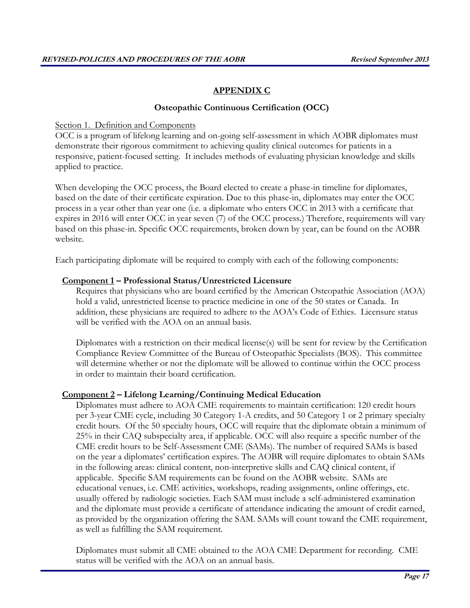## **APPENDIX C**

## **Osteopathic Continuous Certification (OCC)**

Section 1. Definition and Components

OCC is a program of lifelong learning and on-going self-assessment in which AOBR diplomates must demonstrate their rigorous commitment to achieving quality clinical outcomes for patients in a responsive, patient-focused setting. It includes methods of evaluating physician knowledge and skills applied to practice.

When developing the OCC process, the Board elected to create a phase-in timeline for diplomates, based on the date of their certificate expiration. Due to this phase-in, diplomates may enter the OCC process in a year other than year one (i.e. a diplomate who enters OCC in 2013 with a certificate that expires in 2016 will enter OCC in year seven (7) of the OCC process.) Therefore, requirements will vary based on this phase-in. Specific OCC requirements, broken down by year, can be found on the AOBR website.

Each participating diplomate will be required to comply with each of the following components:

## **Component 1 – Professional Status/Unrestricted Licensure**

Requires that physicians who are board certified by the American Osteopathic Association (AOA) hold a valid, unrestricted license to practice medicine in one of the 50 states or Canada. In addition, these physicians are required to adhere to the AOA's Code of Ethics. Licensure status will be verified with the AOA on an annual basis.

Diplomates with a restriction on their medical license(s) will be sent for review by the Certification Compliance Review Committee of the Bureau of Osteopathic Specialists (BOS). This committee will determine whether or not the diplomate will be allowed to continue within the OCC process in order to maintain their board certification.

## **Component 2 – Lifelong Learning/Continuing Medical Education**

Diplomates must adhere to AOA CME requirements to maintain certification: 120 credit hours per 3-year CME cycle, including 30 Category 1-A credits, and 50 Category 1 or 2 primary specialty credit hours. Of the 50 specialty hours, OCC will require that the diplomate obtain a minimum of 25% in their CAQ subspecialty area, if applicable. OCC will also require a specific number of the CME credit hours to be Self-Assessment CME (SAMs). The number of required SAMs is based on the year a diplomates' certification expires. The AOBR will require diplomates to obtain SAMs in the following areas: clinical content, non-interpretive skills and CAQ clinical content, if applicable. Specific SAM requirements can be found on the AOBR website. SAMs are educational venues, i.e. CME activities, workshops, reading assignments, online offerings, etc. usually offered by radiologic societies. Each SAM must include a self-administered examination and the diplomate must provide a certificate of attendance indicating the amount of credit earned, as provided by the organization offering the SAM. SAMs will count toward the CME requirement, as well as fulfilling the SAM requirement.

Diplomates must submit all CME obtained to the AOA CME Department for recording. CME status will be verified with the AOA on an annual basis.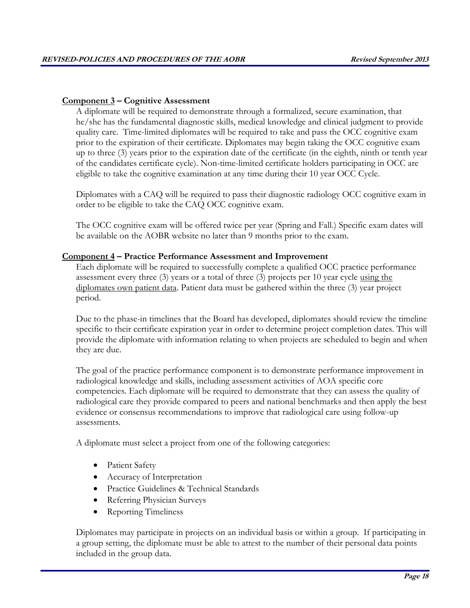### **Component 3 – Cognitive Assessment**

A diplomate will be required to demonstrate through a formalized, secure examination, that he/she has the fundamental diagnostic skills, medical knowledge and clinical judgment to provide quality care. Time-limited diplomates will be required to take and pass the OCC cognitive exam prior to the expiration of their certificate. Diplomates may begin taking the OCC cognitive exam up to three (3) years prior to the expiration date of the certificate (in the eighth, ninth or tenth year of the candidates certificate cycle). Non-time-limited certificate holders participating in OCC are eligible to take the cognitive examination at any time during their 10 year OCC Cycle.

Diplomates with a CAQ will be required to pass their diagnostic radiology OCC cognitive exam in order to be eligible to take the CAQ OCC cognitive exam.

The OCC cognitive exam will be offered twice per year (Spring and Fall.) Specific exam dates will be available on the AOBR website no later than 9 months prior to the exam.

### **Component 4 – Practice Performance Assessment and Improvement**

Each diplomate will be required to successfully complete a qualified OCC practice performance assessment every three (3) years or a total of three (3) projects per 10 year cycle using the diplomates own patient data. Patient data must be gathered within the three (3) year project period.

Due to the phase-in timelines that the Board has developed, diplomates should review the timeline specific to their certificate expiration year in order to determine project completion dates. This will provide the diplomate with information relating to when projects are scheduled to begin and when they are due.

The goal of the practice performance component is to demonstrate performance improvement in radiological knowledge and skills, including assessment activities of AOA specific core competencies. Each diplomate will be required to demonstrate that they can assess the quality of radiological care they provide compared to peers and national benchmarks and then apply the best evidence or consensus recommendations to improve that radiological care using follow-up assessments.

A diplomate must select a project from one of the following categories:

- Patient Safety
- Accuracy of Interpretation
- Practice Guidelines & Technical Standards
- Referring Physician Surveys
- Reporting Timeliness

Diplomates may participate in projects on an individual basis or within a group. If participating in a group setting, the diplomate must be able to attest to the number of their personal data points included in the group data.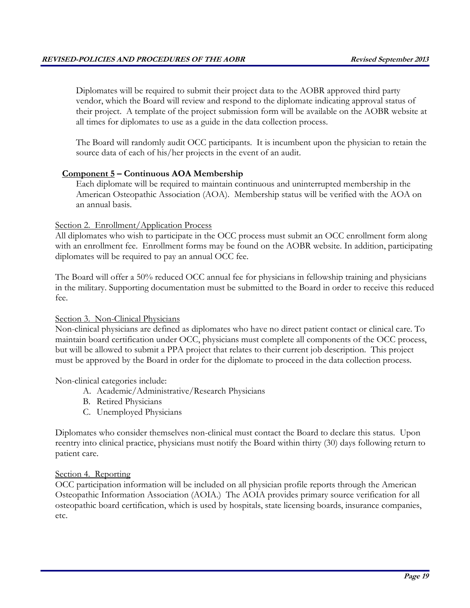Diplomates will be required to submit their project data to the AOBR approved third party vendor, which the Board will review and respond to the diplomate indicating approval status of their project. A template of the project submission form will be available on the AOBR website at all times for diplomates to use as a guide in the data collection process.

The Board will randomly audit OCC participants. It is incumbent upon the physician to retain the source data of each of his/her projects in the event of an audit.

## **Component 5 – Continuous AOA Membership**

Each diplomate will be required to maintain continuous and uninterrupted membership in the American Osteopathic Association (AOA). Membership status will be verified with the AOA on an annual basis.

### Section 2. Enrollment/Application Process

All diplomates who wish to participate in the OCC process must submit an OCC enrollment form along with an enrollment fee. Enrollment forms may be found on the AOBR website. In addition, participating diplomates will be required to pay an annual OCC fee.

The Board will offer a 50% reduced OCC annual fee for physicians in fellowship training and physicians in the military. Supporting documentation must be submitted to the Board in order to receive this reduced fee.

### Section 3. Non-Clinical Physicians

Non-clinical physicians are defined as diplomates who have no direct patient contact or clinical care. To maintain board certification under OCC, physicians must complete all components of the OCC process, but will be allowed to submit a PPA project that relates to their current job description. This project must be approved by the Board in order for the diplomate to proceed in the data collection process.

### Non-clinical categories include:

- A. Academic/Administrative/Research Physicians
- B. Retired Physicians
- C. Unemployed Physicians

Diplomates who consider themselves non-clinical must contact the Board to declare this status. Upon reentry into clinical practice, physicians must notify the Board within thirty (30) days following return to patient care.

### Section 4. Reporting

OCC participation information will be included on all physician profile reports through the American Osteopathic Information Association (AOIA.) The AOIA provides primary source verification for all osteopathic board certification, which is used by hospitals, state licensing boards, insurance companies, etc.